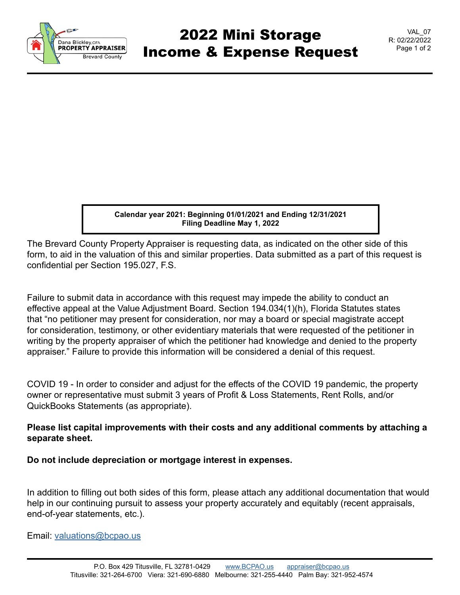

## 2022 Mini Storage Income & Expense Request

VAL\_07 R: 02/22/2022 Page 1 of 2

**Calendar year 2021: Beginning 01/01/2021 and Ending 12/31/2021 Filing Deadline May 1, 2022**

The Brevard County Property Appraiser is requesting data, as indicated on the other side of this form, to aid in the valuation of this and similar properties. Data submitted as a part of this request is confidential per Section 195.027, F.S.

Failure to submit data in accordance with this request may impede the ability to conduct an effective appeal at the Value Adjustment Board. Section 194.034(1)(h), Florida Statutes states that "no petitioner may present for consideration, nor may a board or special magistrate accept for consideration, testimony, or other evidentiary materials that were requested of the petitioner in writing by the property appraiser of which the petitioner had knowledge and denied to the property appraiser." Failure to provide this information will be considered a denial of this request.

COVID 19 - In order to consider and adjust for the effects of the COVID 19 pandemic, the property owner or representative must submit 3 years of Profit & Loss Statements, Rent Rolls, and/or QuickBooks Statements (as appropriate).

## **Please list capital improvements with their costs and any additional comments by attaching a separate sheet.**

**Do not include depreciation or mortgage interest in expenses.**

In addition to filling out both sides of this form, please attach any additional documentation that would help in our continuing pursuit to assess your property accurately and equitably (recent appraisals, end-of-year statements, etc.).

Email: [valuations@bcpao.us](mailto: valuations@bcpao.us)